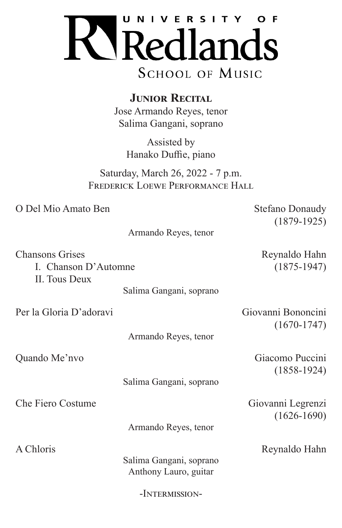

**JUNIOR RECITAL** Jose Armando Reyes, tenor Salima Gangani, soprano

> Assisted by Hanako Duffie, piano

Saturday, March 26, 2022 - 7 p.m. FREDERICK LOEWE PERFORMANCE HALL

O Del Mio Amato Ben Stefano Donaudy

(1879-1925)

| Armando Reyes, tenor |  |  |
|----------------------|--|--|
|----------------------|--|--|

Chansons Grises Reynaldo Hahn I. Chanson D'Automne (1875-1947) II. Tous Deux

Salima Gangani, soprano

Per la Gloria D'adoravi Giovanni Bononcini

(1670-1747)

Armando Reyes, tenor

Salima Gangani, soprano

Armando Reyes, tenor

Salima Gangani, soprano Anthony Lauro, guitar

-Intermission-

Quando Me'nvo Giacomo Puccini (1858-1924)

Che Fiero Costume Giovanni Legrenzi (1626-1690)

A Chloris Reynaldo Hahn